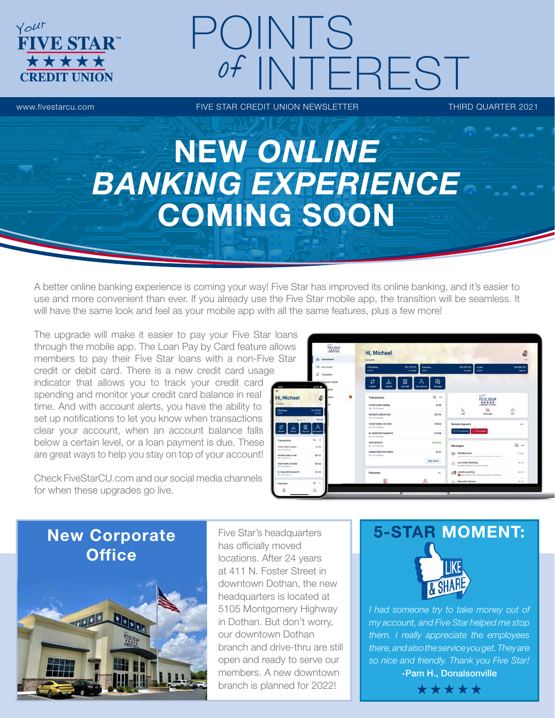# POINTS of INTEREST

**FIVE STAR** 

\*\*\*\*

Your

www.fivestarcu.com **FIVE STAR CREDIT UNION NEWSLETTER** THIRD QUARTER 2021

# NEW *ONLINE BANKING EXPERIENCE* COMING SOON

A better online banking experience is coming your way! Five Star has improved its online banking, and it's easier to use and more convenient than ever. If you already use the Five Star mobile app, the transition will be seamless. It will have the same look and feel as your mobile app with all the same features, plus a few more!

The upgrade will make it easier to pay your Five Star loans through the mobile app. The Loan Pay by Card feature allows members to pay their Five Star loans with a non-Five Star credit or debit card. There is a new credit card usage

indicator that allows you to track your credit card spending and monitor your credit card balance in real time. And with account alerts, you have the ability to set up notifications to let you know when transactions clear your account, when an account balance falls below a certain level, or a loan payment is due. These are great ways to help you stay on top of your account!

Check FiveStarCU.com and our social media channels for when these upgrades go live.



## New Corporate **Office**



Five Star's headquarters has officially moved locations. After 24 years at 411 N. Foster Street in downtown Dothan, the new headquarters is located at 5105 Montgomery Highway in Dothan. But don't worry, our downtown Dothan branch and drive-thru are still open and ready to serve our members. A new downtown branch is planned for 2022!

# 5-STAR MOMENT:

*I had someone try to take money out of my account, and Five Star helped me stop them. I really appreciate the employees there, and also the service you get. They are so nice and friendly. Thank you Five Star!* 

-Pam H., Donalsonville